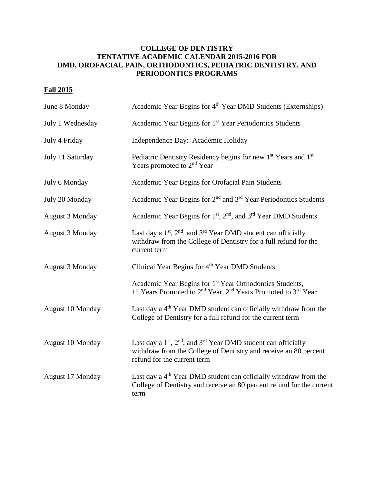## **COLLEGE OF DENTISTRY TENTATIVE ACADEMIC CALENDAR 2015-2016 FOR DMD, OROFACIAL PAIN, ORTHODONTICS, PEDIATRIC DENTISTRY, AND PERIODONTICS PROGRAMS**

## **Fall 2015**

| June 8 Monday          | Academic Year Begins for 4 <sup>th</sup> Year DMD Students (Externships)                                                                                                                              |
|------------------------|-------------------------------------------------------------------------------------------------------------------------------------------------------------------------------------------------------|
| July 1 Wednesday       | Academic Year Begins for 1 <sup>st</sup> Year Periodontics Students                                                                                                                                   |
| July 4 Friday          | Independence Day: Academic Holiday                                                                                                                                                                    |
| July 11 Saturday       | Pediatric Dentistry Residency begins for new 1 <sup>st</sup> Years and 1 <sup>st</sup><br>Years promoted to 2 <sup>nd</sup> Year                                                                      |
| July 6 Monday          | Academic Year Begins for Orofacial Pain Students                                                                                                                                                      |
| July 20 Monday         | Academic Year Begins for 2 <sup>nd</sup> and 3 <sup>rd</sup> Year Periodontics Students                                                                                                               |
| <b>August 3 Monday</b> | Academic Year Begins for 1 <sup>st</sup> , 2 <sup>nd</sup> , and 3 <sup>rd</sup> Year DMD Students                                                                                                    |
| <b>August 3 Monday</b> | Last day a $1st$ , $2nd$ , and $3rd$ Year DMD student can officially<br>withdraw from the College of Dentistry for a full refund for the<br>current term                                              |
| August 3 Monday        | Clinical Year Begins for 4 <sup>th</sup> Year DMD Students                                                                                                                                            |
|                        | Academic Year Begins for 1 <sup>st</sup> Year Orthodontics Students,<br>1 <sup>st</sup> Years Promoted to 2 <sup>nd</sup> Year, 2 <sup>nd</sup> Years Promoted to 3 <sup>rd</sup> Year                |
| August 10 Monday       | Last day a 4 <sup>th</sup> Year DMD student can officially withdraw from the<br>College of Dentistry for a full refund for the current term                                                           |
| August 10 Monday       | Last day a 1 <sup>st</sup> , 2 <sup>nd</sup> , and 3 <sup>rd</sup> Year DMD student can officially<br>withdraw from the College of Dentistry and receive an 80 percent<br>refund for the current term |
| August 17 Monday       | Last day a 4 <sup>th</sup> Year DMD student can officially withdraw from the<br>College of Dentistry and receive an 80 percent refund for the current<br>term                                         |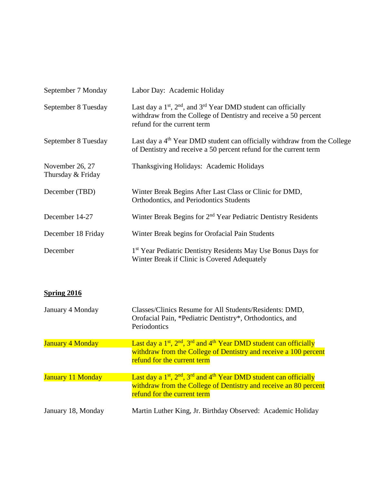| September 7 Monday                   | Labor Day: Academic Holiday                                                                                                                                            |
|--------------------------------------|------------------------------------------------------------------------------------------------------------------------------------------------------------------------|
| September 8 Tuesday                  | Last day a $1st$ , $2nd$ , and $3rd$ Year DMD student can officially<br>withdraw from the College of Dentistry and receive a 50 percent<br>refund for the current term |
| September 8 Tuesday                  | Last day a 4 <sup>th</sup> Year DMD student can officially withdraw from the College<br>of Dentistry and receive a 50 percent refund for the current term              |
| November 26, 27<br>Thursday & Friday | Thanksgiving Holidays: Academic Holidays                                                                                                                               |
| December (TBD)                       | Winter Break Begins After Last Class or Clinic for DMD,<br>Orthodontics, and Periodontics Students                                                                     |
| December 14-27                       | Winter Break Begins for 2 <sup>nd</sup> Year Pediatric Dentistry Residents                                                                                             |
| December 18 Friday                   | Winter Break begins for Orofacial Pain Students                                                                                                                        |
| December                             | 1 <sup>st</sup> Year Pediatric Dentistry Residents May Use Bonus Days for<br>Winter Break if Clinic is Covered Adequately                                              |

| January 4 Monday         | Classes/Clinics Resume for All Students/Residents: DMD,<br>Orofacial Pain, *Pediatric Dentistry*, Orthodontics, and<br>Periodontics                                           |
|--------------------------|-------------------------------------------------------------------------------------------------------------------------------------------------------------------------------|
| <b>January 4 Monday</b>  | Last day a $1st$ , $2nd$ , $3rd$ and $4th$ Year DMD student can officially<br>withdraw from the College of Dentistry and receive a 100 percent<br>refund for the current term |
| <b>January 11 Monday</b> | Last day a $1st$ , $2nd$ , $3rd$ and $4th$ Year DMD student can officially<br>withdraw from the College of Dentistry and receive an 80 percent<br>refund for the current term |
| January 18, Monday       | Martin Luther King, Jr. Birthday Observed: Academic Holiday                                                                                                                   |